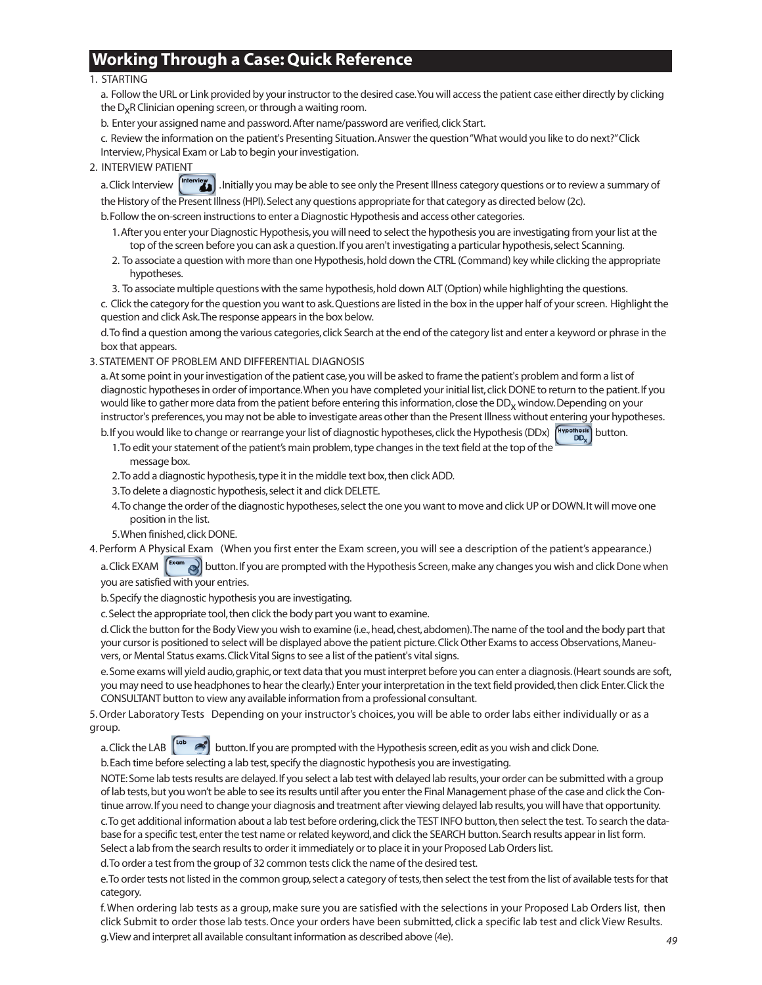# **Working Through a Case: Quick Reference**

#### 1. STARTING

a. Follow the URL or Link provided by your instructor to the desired case. You will access the patient case either directly by clicking the  $D_{x}R$  Clinician opening screen, or through a waiting room.

b. Enter your assigned name and password. After name/password are verified, click Start.

c. Review the information on the patient's Presenting Situation. Answer the question "What would you like to do next?" Click Interview, Physical Exam or Lab to begin your investigation.

2. INTERVIEW PATIENT

a. Click Interview  $\binom{\text{Interview}}{n}$ . Initially you may be able to see only the Present Illness category questions or to review a summary of

the History of the Present Illness (HPI). Select any questions appropriate for that category as directed below (2c).

b. Follow the on-screen instructions to enter a Diagnostic Hypothesis and access other categories.

- 1. After you enter your Diagnostic Hypothesis, you will need to select the hypothesis you are investigating from your list at the top of the screen before you can ask a question. If you aren't investigating a particular hypothesis, select Scanning.
- 2. To associate a question with more than one Hypothesis, hold down the CTRL (Command) key while clicking the appropriate hypotheses.

3. To associate multiple questions with the same hypothesis, hold down ALT (Option) while highlighting the questions.

c. Click the category for the question you want to ask. Questions are listed in the box in the upper half of your screen. Highlight the question and click Ask. The response appears in the box below.

d. To find a question among the various categories, click Search at the end of the category list and enter a keyword or phrase in the box that appears.

### 3. STATEMENT OF PROBLEM AND DIFFERENTIAL DIAGNOSIS

a. At some point in your investigation of the patient case, you will be asked to frame the patient's problem and form a list of diagnostic hypotheses in order of importance. When you have completed your initial list, click DONE to return to the patient. If you would like to gather more data from the patient before entering this information, close the DD<sub>x</sub> window. Depending on your instructor's preferences, you may not be able to investigate areas other than the Present Illness without entering your hypotheses.

b. If you would like to change or rearrange your list of diagnostic hypotheses, click the Hypothesis (DDx)  $\binom{Hypothesis}{DD}$  button. 1. To edit your statement of the patient's main problem, type changes in the text field at the top of the

- message box. 2. To add a diagnostic hypothesis, type it in the middle text box, then click ADD.
- 3. To delete a diagnostic hypothesis, select it and click DELETE.
- 4. To change the order of the diagnostic hypotheses, select the one you want to move and click UP or DOWN. It will move one position in the list.
- 5. When finished, click DONE.

4. Perform A Physical Exam (When you first enter the Exam screen, you will see a description of the patient's appearance.)

a. Click EXAM  $\Gamma$ <sup>Exam</sup> and button. If you are prompted with the Hypothesis Screen, make any changes you wish and click Done when you are satisfied with your entries.

b. Specify the diagnostic hypothesis you are investigating.

c. Select the appropriate tool, then click the body part you want to examine.

d. Click the button for the Body View you wish to examine (i.e., head, chest, abdomen). The name of the tool and the body part that your cursor is positioned to select will be displayed above the patient picture. Click Other Exams to access Observations, Maneuvers, or Mental Status exams. Click Vital Signs to see a list of the patient's vital signs.

e. Some exams will yield audio, graphic, or text data that you must interpret before you can enter a diagnosis. (Heart sounds are soft, you may need to use headphones to hear the clearly.) Enter your interpretation in the text field provided, then click Enter. Click the CONSULTANT button to view any available information from a professional consultant.

5. Order Laboratory Tests Depending on your instructor's choices, you will be able to order labs either individually or as a group.

a. Click the LAB  $\begin{bmatrix} \text{lab} & \bullet \end{bmatrix}$  button. If you are prompted with the Hypothesis screen, edit as you wish and click Done.

b. Each time before selecting a lab test, specify the diagnostic hypothesis you are investigating.

NOTE: Some lab tests results are delayed. If you select a lab test with delayed lab results, your order can be submitted with a group of lab tests, but you won't be able to see its results until after you enter the Final Management phase of the case and click the Continue arrow. If you need to change your diagnosis and treatment after viewing delayed lab results, you will have that opportunity. c. To get additional information about a lab test before ordering, click the TEST INFO button, then select the test. To search the database for a specific test, enter the test name or related keyword, and click the SEARCH button. Search results appear in list form. Select a lab from the search results to order it immediately or to place it in your Proposed Lab Orders list.

d. To order a test from the group of 32 common tests click the name of the desired test.

e. To order tests not listed in the common group, select a category of tests, then select the test from the list of available tests for that category.

f. When ordering lab tests as a group, make sure you are satisfied with the selections in your Proposed Lab Orders list, then click Submit to order those lab tests. Once your orders have been submitted, click a specific lab test and click View Results. g. View and interpret all available consultant information as described above (4e).